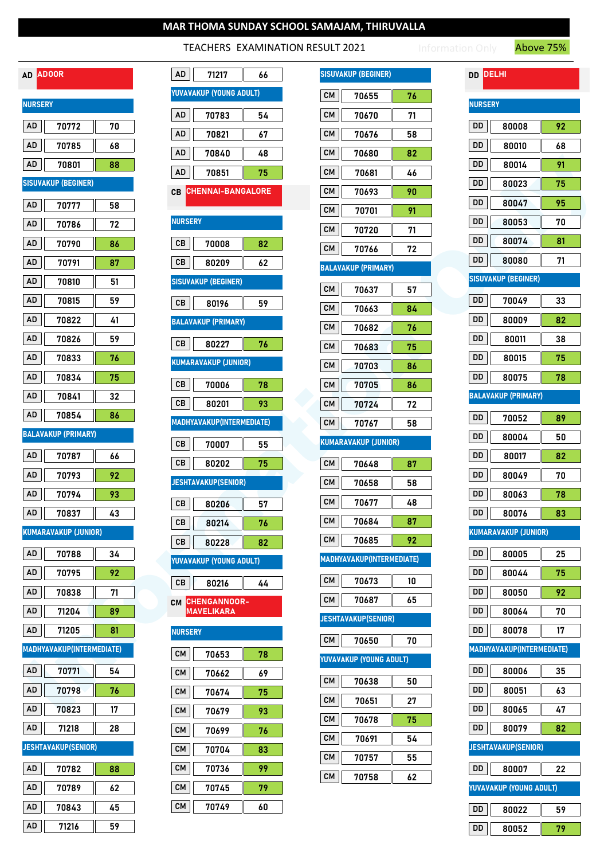## TEACHERS EXAMINATION RESULT 2021

Information Only **Above 75%** 

| ADOOR<br>AD         |                             |    |  |  |
|---------------------|-----------------------------|----|--|--|
| <b>NURSERY</b>      |                             |    |  |  |
| AD                  | 70772                       | 70 |  |  |
| AD                  | 70785                       | 68 |  |  |
| AD                  | 70801                       | 88 |  |  |
|                     | <b>SISUVAKUP (BEGINER)</b>  |    |  |  |
| AD                  | 70777                       | 58 |  |  |
| AD                  | 70786                       | 72 |  |  |
| AD                  | 70790                       | 86 |  |  |
| AD                  | 70791                       | 87 |  |  |
| AD                  | 70810                       | 51 |  |  |
| AD                  | 70815                       | 59 |  |  |
| AD                  | 70822                       | 41 |  |  |
| AD                  | 70826                       | 59 |  |  |
| AD                  | 70833                       | 76 |  |  |
| AD                  | 70834                       | 75 |  |  |
| AD                  | 70841                       | 32 |  |  |
| AD                  | 70854                       | 86 |  |  |
| BALAVAKUP (PRIMARY) |                             |    |  |  |
| AD                  | 70787                       | 66 |  |  |
| AD                  | 70793                       | 92 |  |  |
| AD                  | 70794                       | 93 |  |  |
| AD                  | 70837<br>$\Box$             | 43 |  |  |
|                     | <b>KUMARAVAKUP (JUNIOR)</b> |    |  |  |
| AD                  | 70788                       | 34 |  |  |
| AD                  | 70795                       | 92 |  |  |
| AD                  | 70838                       | 71 |  |  |
| AD                  | 71204                       | 89 |  |  |
| AD                  | 71205                       | 81 |  |  |
|                     | MADHYAVAKUP(INTERMEDIATE)   |    |  |  |
| AD                  | 70771                       | 54 |  |  |
| AD                  | 70798                       | 76 |  |  |
| AD                  | 70823                       | 17 |  |  |
| AD                  | 71218                       | 28 |  |  |
|                     | <b>JESHTAVAKUP(SENIOR)</b>  |    |  |  |
| AD                  | 70782                       | 88 |  |  |
| AD                  | 70789                       | 62 |  |  |
| AD                  | 70843                       | 45 |  |  |
| AD                  | 71216                       | 59 |  |  |

|                | AD ADOOR                    |    | AD<br>71217<br>66              | <b>SISUVAKUP (BEGINER)</b>       | <b>DD DELHI</b>                  |
|----------------|-----------------------------|----|--------------------------------|----------------------------------|----------------------------------|
| <b>NURSERY</b> |                             |    | YUVAVAKUP (YOUNG ADULT)        | CM<br>70655<br>76                | <b>NURSERY</b>                   |
| AD             | 70772                       | 70 | AD<br>70783<br>54              | ${\sf CM}$<br>70670<br>71        | DD<br>80008<br>92                |
| AD             | 70785                       | 68 | $\sf{AD}$<br>70821<br>67       | ${\sf CM}$<br>70676<br>58        | DD<br>80010<br>68                |
| AD             | 70801                       | 88 | $\sf{AD}$<br>70840<br>48       | <b>CM</b><br>70680<br>82         | DD<br>91<br>80014                |
|                | <b>SISUVAKUP (BEGINER)</b>  |    | AD<br>70851<br>75              | <b>CM</b><br>70681<br>46         | DD<br>80023<br>75                |
|                |                             |    | <b>CHENNAI-BANGALORE</b><br>CВ | ${\sf CM}$<br>70693<br>90        | DD<br>80047<br>95                |
| AD             | 70777                       | 58 | <b>NURSERY</b>                 | ${\sf CM}$<br>70701<br>91        | DD                               |
| AD             | 70786                       | 72 |                                | CM<br>70720<br>71                | 80053<br>70                      |
| AD             | 70790                       | 86 | ${\tt CB}$<br>70008<br>82      | ${\sf CM}$<br>70766<br>72        | DD<br>80074<br>81                |
| AD             | 70791                       | 87 | CB<br>80209<br>62              | <b>BALAVAKUP (PRIMARY)</b>       | DD<br>80080<br>71                |
| AD             | 70810                       | 51 | <b>SISUVAKUP (BEGINER)</b>     | ${\sf CM}$<br>70637<br>57        | <b>SISUVAKUP (BEGINER)</b>       |
| AD             | 70815                       | 59 | CB<br>59<br>80196              | ${\sf CM}$<br>70663<br>84        | DD<br>70049<br>33                |
| AD             | 70822                       | 41 | <b>BALAVAKUP (PRIMARY)</b>     | CM<br>76<br>70682                | DD<br>80009<br>82                |
| AD             | 70826                       | 59 | CB<br>80227<br>76              | ${\sf CM}$<br>70683<br>75        | DD<br>80011<br>38                |
| AD             | 70833                       | 76 | KUMARAVAKUP (JUNIOR)           | <b>CM</b><br>70703<br>86         | DD<br>80015<br>75                |
| AD             | 70834                       | 75 | ${\tt CB}$<br>70006<br>78      | <b>CM</b><br>70705<br>86         | DD<br>80075<br>78                |
| AD             | 70841                       | 32 | ${\tt CB}$<br>80201<br>93      | <b>CM</b><br>70724<br>72         | <b>BALAVAKUP (PRIMARY)</b>       |
| AD             | 70854                       | 86 | MADHYAVAKUP(INTERMEDIATE)      | <b>CM</b><br>70767<br>58         | DD<br>70052<br>89                |
|                | <b>BALAVAKUP (PRIMARY)</b>  |    |                                | <b>KUMARAVAKUP (JUNIOR)</b>      | DD<br>80004<br>50                |
| AD             | 70787                       | 66 | ${\rm CB}$<br>70007<br>55      |                                  | DD<br>80017<br>82                |
| AD             | 70793                       | 92 | CB<br>80202<br>75              | <b>CM</b><br>70648<br>87         | DD<br>80049<br>70                |
| AD             | 70794                       | 93 | <b>JESHTAVAKUP(SENIOR)</b>     | <b>CM</b><br>70658<br>58         | DD<br>80063<br>78                |
| AD             | 70837                       | 43 | CB<br>80206<br>57              | <b>CM</b><br>70677<br>48         | DD<br>80076<br>83                |
|                | <b>KUMARAVAKUP (JUNIOR)</b> |    | CB<br>76<br>80214              | <b>CM</b><br>70684<br>87         | <b>KUMARAVAKUP (JUNIOR)</b>      |
| AD             | 70788                       | 34 | ${\rm CB}$<br>82<br>80228      | ${\sf CM}$<br>70685<br>92        | DD<br>80005<br>25                |
| $\sf{AD}$      | 70795                       | 92 | YUVAVAKUP (YOUNG ADULT)        | <b>MADHYAVAKUP(INTERMEDIATE)</b> | DD<br>75                         |
|                |                             |    | CB<br>80216<br>44              | <b>CM</b><br>70673<br>10         | 80044<br>DD                      |
| AD             | 70838                       | 71 | CM CHENGANNOOR-                | CM<br>70687<br>65                | 80050<br>92                      |
| $\sf{AD}$      | 71204                       | 89 | <b>MAVELIKARA</b>              | <b>JESHTAVAKUP(SENIOR)</b>       | DD<br>70<br>80064                |
| AD             | 71205                       | 81 | <b>NURSERY</b>                 | <b>CM</b><br>70650<br>70         | DD<br>80078<br>17                |
|                | MADHYAVAKUP(INTERMEDIATE)   |    | CM<br>70653<br>78              | YUVAVAKUP (YOUNG ADULT)          | <b>MADHYAVAKUP(INTERMEDIATE)</b> |
| AD             | 70771                       | 54 | CM<br>70662<br>69              | CM<br>70638<br>50                | DD<br>80006<br>35                |
| AD             | 70798                       | 76 | CM<br>75<br>70674              | ${\sf CM}$<br>70651<br>27        | DD<br>80051<br>63                |
| $\sf{AD}$      | 70823                       | 17 | CM<br>93<br>70679              | ${\sf CM}$<br>70678<br>75        | DD<br>47<br>80065                |
| AD             | 71218                       | 28 | ${\sf CM}$<br>70699<br>76      |                                  | DD<br>80079<br>82                |
|                | <b>JESHTAVAKUP(SENIOR)</b>  |    | CM<br>70704<br>83              | CM<br>70691<br>54                | <b>JESHTAVAKUP(SENIOR)</b>       |
| $\sf{AD}$      | 70782                       | 88 | CМ<br>99<br>70736              | ${\sf CM}$<br>70757<br>55        | DD<br>80007<br>22                |
| AD             | 70789                       | 62 | CM<br>70745<br>79              | ${\sf CM}$<br>70758<br>62        | YUVAVAKUP (YOUNG ADULT)          |
| $\sf{AD}$      | 70843                       | 45 | ${\sf CM}$<br>70749<br>60      |                                  | DD<br>80022<br>59                |

|           | <b>SISUVAKUP (BEGINER)</b>       |    |
|-----------|----------------------------------|----|
| CМ        | 70655                            | 76 |
| CМ        | 70670                            | 71 |
| <b>CM</b> | 70676                            | 58 |
| <b>CM</b> | 70680                            | 82 |
| <b>CM</b> | 70681                            | 46 |
| CМ        | 70693                            | 90 |
| CМ        | 70701                            | 91 |
| CМ        | 70720                            | 71 |
| CМ        | 70766                            | 72 |
|           | <b>BALAVAKUP (PRIMARY)</b>       |    |
| <b>CM</b> | 70637                            | 57 |
| <b>CM</b> | 70663                            | 84 |
| CМ        | 70682                            | 76 |
| CМ        | 70683                            | 75 |
| CМ        | 70703                            | 86 |
| CМ        | 70705                            | 86 |
| CМ        | 70724                            | 72 |
| CМ        | 70767                            | 58 |
|           | <b>KUMARAVAKUP (JUNIOR)</b>      |    |
| CМ        | 70648                            | 87 |
| <b>CM</b> | 70658                            | 58 |
| <b>CM</b> | 70677                            | 48 |
| CM        | 70684                            | 87 |
| <b>CM</b> | 70685                            | 92 |
|           | <b>MADHYAVAKUP(INTERMEDIATE)</b> |    |
| CM        | 70673                            | 10 |
|           |                                  |    |
| CM        | 70687                            | 65 |
|           | <b>JESHTAVAKUP(SENIOR)</b>       |    |
| CM        | 70650                            | 70 |
|           | YUVAVAKUP (YOUNG ADULT)          |    |
| <b>CM</b> | 70638                            | 50 |
| <b>CM</b> | 70651                            | 27 |
| CМ        | 70678                            | 75 |
| <b>CM</b> | 70691                            | 54 |
| <b>CM</b> | 70757                            | 55 |

| <b>DELHI</b><br>DD |                                  |    |  |  |  |
|--------------------|----------------------------------|----|--|--|--|
| <b>NURSERY</b>     |                                  |    |  |  |  |
| DD                 | 80008                            | 92 |  |  |  |
| DD                 | 80010                            | 68 |  |  |  |
| DD                 | 80014                            | 91 |  |  |  |
| DD                 | 80023                            | 75 |  |  |  |
| DD                 | 80047                            | 95 |  |  |  |
| DD                 | 80053                            | 70 |  |  |  |
| DD                 | 80074                            | 81 |  |  |  |
| DD                 | 80080                            | 71 |  |  |  |
|                    | SISUVAKUP (BEGINER)              |    |  |  |  |
| DD                 | 70049                            | 33 |  |  |  |
| DD                 | 80009                            | 82 |  |  |  |
| DD                 | 80011                            | 38 |  |  |  |
| DD                 | 80015                            | 75 |  |  |  |
| DD                 | 80075                            | 78 |  |  |  |
|                    | <b>BALAVAKUP (PRIMARY)</b>       |    |  |  |  |
| DD                 | 70052                            | 89 |  |  |  |
| DD                 | 80004                            | 50 |  |  |  |
| DD                 | 80017                            | 82 |  |  |  |
| DD                 | 80049                            | 70 |  |  |  |
| DD                 | 80063                            | 78 |  |  |  |
| DD                 | 80076                            | 83 |  |  |  |
|                    | KUMARAVAKUP (JUNIOR)             |    |  |  |  |
| DD                 | 80005                            | 25 |  |  |  |
| DD                 | 80044                            | 75 |  |  |  |
| DD                 | 80050                            | 92 |  |  |  |
| DD                 | 80064                            | 70 |  |  |  |
| DD                 | 80078                            | 17 |  |  |  |
|                    | <b>MADHYAVAKUP(INTERMEDIATE)</b> |    |  |  |  |
| DD                 | 80006                            | 35 |  |  |  |
| DD                 | 80051                            | 63 |  |  |  |
| DD                 | 80065                            | 47 |  |  |  |
| DD                 | 80079                            | 82 |  |  |  |
|                    | <b>ESHTAVAKUP(SENIOR)</b>        |    |  |  |  |
| DD                 | 80007                            | 22 |  |  |  |
|                    | <b>YUVAVAKUP (YOUNG ADULT)</b>   |    |  |  |  |
| DD                 | 80022                            | 59 |  |  |  |
| DD                 | 80052                            | 79 |  |  |  |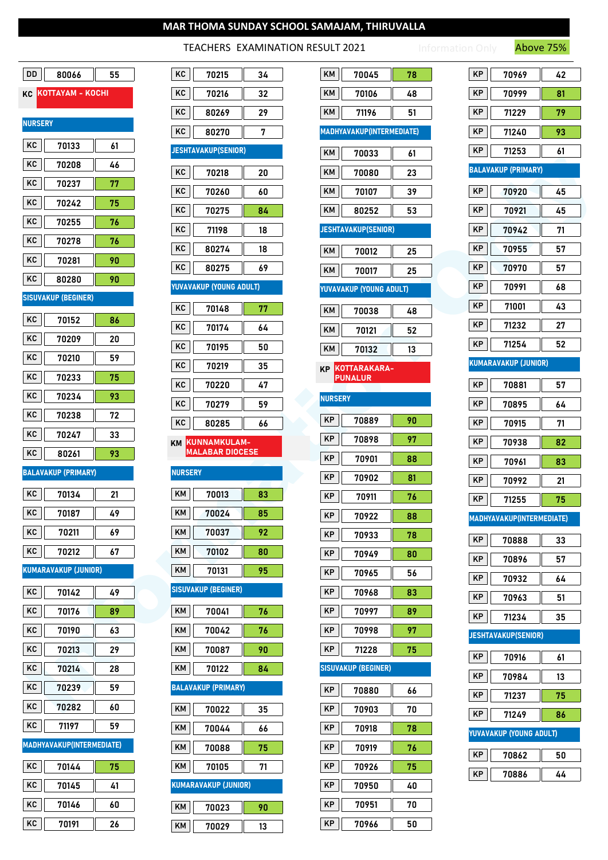### TEACHERS EXAMINATION RESULT 2021

|                                  | ACTILITY LAVARITY MICH RESOLT LOLL |                                           | 11008C1370                       |
|----------------------------------|------------------------------------|-------------------------------------------|----------------------------------|
| DD                               | KC                                 | KM                                        | KP                               |
| 80066                            | 70215                              | 70045                                     | 70969                            |
| 55                               | 34                                 | 78                                        | 42                               |
| KOTTAYAM - KOCHI<br>KC           | KC<br>70216<br>32                  | KM<br>70106<br>48                         | KP<br>81<br>70999                |
|                                  | KC                                 | KM                                        | KP                               |
|                                  | 80269                              | 71196                                     | 79                               |
|                                  | 29                                 | 51                                        | 71229                            |
| <b>NURSERY</b>                   | KC<br>80270<br>7                   | MADHYAVAKUP(INTERMEDIATE)                 | KP<br>71240<br>93                |
| KC                               | <b>JESHTAVAKUP(SENIOR)</b>         | KM                                        | KP                               |
| 70133                            |                                    | 70033                                     | 71253                            |
| 61                               |                                    | 61                                        | 61                               |
| KC                               | KC                                 | KM                                        | <b>BALAVAKUP (PRIMARY)</b>       |
| 70208                            | 70218                              | 70080                                     |                                  |
| 46                               | 20                                 | 23                                        |                                  |
| KC                               | KC                                 | KM                                        | KP                               |
| 70237                            | 70260                              | 70107                                     | 70920                            |
| 77                               | 60                                 | 39                                        | 45                               |
| KC                               | KC                                 | KM                                        | KP                               |
| 70242                            | 70275                              | 80252                                     | 70921                            |
| 75                               | 84                                 | 53                                        | 45                               |
| KC                               | KC                                 | <b>JESHTAVAKUP(SENIOR)</b>                | KP                               |
| 70255                            | 71198                              |                                           | 70942                            |
| 76                               | 18                                 |                                           | 71                               |
| KC                               | KC                                 | KM                                        | 70955                            |
| 70278                            | 80274                              | 70012                                     | KP                               |
| 76                               | 18                                 | 25                                        | 57                               |
| KC                               | KC                                 | KM                                        | KP                               |
| 70281                            | 69                                 | 70017                                     | 70970                            |
| 90                               | 80275                              | 25                                        | 57                               |
| KC<br>80280<br>90                | YUVAVAKUP (YOUNG ADULT)            | YUVAVAKUP (YOUNG ADULT)                   | KP<br>70991<br>68                |
| <b>SISUVAKUP (BEGINER)</b>       | KC<br>77<br>70148                  |                                           | KP<br>71001<br>43                |
| KC                               | KC                                 | KM                                        | KP                               |
| 70152                            | 70174                              | 70038                                     | 71232                            |
| 86                               | 64                                 | 48                                        | 27                               |
| KC                               | KC                                 | KM                                        | KP                               |
| 70209                            | 70195                              | 70121                                     | 52                               |
| 20                               | 50                                 | 52                                        | 71254                            |
| KC                               | KC                                 | KM                                        | <b>KUMARAVAKUP (JUNIOR)</b>      |
| 70210                            | 70219                              | 70132                                     |                                  |
| 59                               | 35                                 | 13                                        |                                  |
| KC                               | KC                                 | KOTTARAKARA-                              | KP                               |
| 70233                            | 70220                              | <b>KP</b>                                 | 70881                            |
| 75                               | 47                                 | <b>PUNALUR</b>                            | 57                               |
| KC                               | KC                                 | <b>NURSERY</b>                            | KP                               |
| 70234                            | 70279                              |                                           | 70895                            |
| 93                               | 59                                 |                                           | 64                               |
| KC<br>70238<br>72                | KC                                 | KP<br>70889<br>90                         | KP                               |
| KC<br>70247<br>33                | 80285<br>66                        | KP<br>70898<br>97                         | 70915<br>71                      |
| KC                               | KUNNAMKULAM-                       | KP                                        | KP                               |
| 80261                            | KM                                 | 70901                                     | 70938                            |
| 93                               | <b>MALABAR DIOCESE</b>             | 88                                        | 82                               |
| <b>BALAVAKUP (PRIMARY)</b>       | <b>NURSERY</b>                     | KP<br>70902<br>81                         | KP<br>70961<br>83                |
| KC                               | KM                                 | KP                                        | KP                               |
| 70134                            | 70013                              | 70911                                     | 70992                            |
| 21                               | 83                                 | 76                                        | 21                               |
| KC                               | KM                                 | KP                                        | KP                               |
| 70187                            | 70024                              | 70922                                     | 71255                            |
| 49                               | 85                                 | 88                                        | 75                               |
| KC                               | KM                                 | KP                                        | <b>MADHYAVAKUP(INTERMEDIATE)</b> |
| 70211                            | 92                                 | 70933                                     |                                  |
| 69                               | 70037                              | 78                                        |                                  |
| KC                               | KM                                 | KP                                        | KP                               |
| 70212                            | 70102                              | 70949                                     | 70888                            |
| 67                               | 80                                 | 80                                        | 33                               |
| <b>KUMARAVAKUP (JUNIOR)</b>      | KM                                 | KP                                        | KP                               |
|                                  | 70131                              | 70965                                     | 70896                            |
|                                  | 95                                 | 56                                        | 57                               |
| KC                               | <b>SISUVAKUP (BEGINER)</b>         | KP                                        | KP                               |
| 70142                            |                                    | 70968                                     | 70932                            |
| 49                               |                                    | 83                                        | 64                               |
| KC                               | KM                                 | KP                                        | KP                               |
| 70176                            | 70041                              | 70997                                     | 70963                            |
| 89                               | 76                                 | 89                                        | 51                               |
| KC<br>70190                      | KM<br>70042<br>76                  | KP<br>70998<br>97                         | KP<br>71234<br>35                |
| 63<br>KC                         | KM                                 | KP                                        | <b>JESHTAVAKUP(SENIOR)</b>       |
| 70213<br>29<br>KC                | 70087<br>90                        | 71228<br>75<br><b>SISUVAKUP (BEGINER)</b> | KP<br>70916<br>61                |
| 70214<br>28                      | KM<br>70122<br>84                  |                                           | KP<br>70984<br>13                |
| KC                               | <b>BALAVAKUP (PRIMARY)</b>         | KP                                        | KP                               |
| 70239                            |                                    | 70880                                     | 71237                            |
| 59                               |                                    | 66                                        | 75                               |
| KC                               | KM                                 | KP                                        | KP                               |
| 70282                            | 70022                              | 70903                                     | 71249                            |
| 60                               | 35                                 | 70                                        | 86                               |
| KC                               | KM                                 | KP                                        | YUVAVAKUP (YOUNG ADULT)          |
| 71197                            | 70044                              | 70918                                     |                                  |
| 59                               | 66                                 | 78                                        |                                  |
| <b>MADHYAVAKUP(INTERMEDIATE)</b> | KM                                 | KP                                        | KP                               |
|                                  | 70088                              | 70919                                     | 70862                            |
|                                  | 75                                 | 76                                        | 50                               |
| KC                               | <b>KM</b>                          | KP                                        | KP                               |
| 70144                            | 71                                 | 70926                                     | 70886                            |
| 75                               | 70105                              | 75                                        | 44                               |
| KC<br>41<br>70145                | <b>KUMARAVAKUP (JUNIOR)</b>        | KP<br>70950<br>40                         |                                  |
| KC                               | <b>KM</b>                          | KP                                        |                                  |
| 70146                            | 70023                              | 70951                                     |                                  |
| ${\bf 60}$                       | 90                                 | 70                                        |                                  |

KC 70191 26

| κc             | 70215                                  | 34 |
|----------------|----------------------------------------|----|
| ΚC             | 70216                                  | 32 |
| κc             | 80269                                  | 29 |
| ĸc             | 80270                                  | 7  |
|                | <b>ESHTAVAKUP(SENIOR)</b>              |    |
| ΚC             | 70218                                  | 20 |
| ĸc             | 70260                                  | 60 |
| ĸc             | 70275                                  | 84 |
| ĸc             | 71198                                  | 18 |
| ĸc             | 80274                                  | 18 |
| κc             | 80275                                  | 69 |
|                | <b>IUVAVAKUP (YOUNG ADULT)</b>         |    |
| ΚC             | 70148                                  | 77 |
| κc             | 70174                                  | 64 |
| ΚC             | 70195                                  | 50 |
| κc             | 70219                                  | 35 |
| κc             | 70220                                  | 47 |
| κc             | 70279                                  | 59 |
|                | 80285                                  | 66 |
| ĸc             |                                        |    |
| KM             | KUNNAMKULAM-<br><b>MALABAR DIOCESE</b> |    |
| <b>NURSERY</b> |                                        |    |
| KΜ             | 70013                                  | 83 |
| KM             | 70024                                  | 85 |
| KM             | 70037                                  | 92 |
| KΜ             | 70102                                  | 80 |
| KΜ             | 70131                                  | 95 |
|                | SISUVAKUP (BEGINER)                    |    |
| ΚM             | 70041                                  | 76 |
| KΜ             | 70042                                  | 76 |
| KΜ             | 70087                                  | 90 |
| KΜ             | 70122                                  | 84 |
|                | BALAVAKUP (PRIMARY)                    |    |
| ΚM             | 70022                                  | 35 |
| KΜ             | 70044                                  | 66 |
| KΜ             | 70088                                  | 75 |
| KΜ             | 70105                                  | 71 |
|                | <b>KUMARAVAKUP (JUNIOR)</b>            |    |
| ΚM             | 70023                                  | 90 |

| KM             | 70045                            | 78 |
|----------------|----------------------------------|----|
| KΜ             | 70106                            | 48 |
| KΜ             | 71196                            | 51 |
|                | <b>MADHYAVAKUP(INTERMEDIATE)</b> |    |
| KΜ             | 70033                            | 61 |
| KΜ             | 70080                            | 23 |
| KΜ             | 70107                            | 39 |
| KΜ             | 80252                            | 53 |
|                | <b>JESHTAVAKUP(SENIOR)</b>       |    |
| KΜ             | 70012                            | 25 |
| KΜ             | 70017                            | 25 |
|                | YUVAVAKUP (YOUNG ADULT)          |    |
| KΜ             | 70038                            | 48 |
| KM             | 70121                            | 52 |
| KΜ             | 70132                            | 13 |
| ΚP             | KOTTARAKARA-<br><u>PU</u> NALUR  |    |
| <b>NURSERY</b> |                                  |    |
| ΚP             | 70889                            | 90 |
| ΚP             | 70898                            | 97 |
| ΚP             | 70901                            | 88 |
| ΚP             | 70902                            | 81 |
| ΚP             | 70911                            | 76 |
| ΚP             | 70922                            | 88 |
| ΚP             | 70933                            | 78 |
| ΚP             | 70949                            | 80 |
| ΚP             | 70965                            | 56 |
| ΚP             | 70968                            | 83 |
| ΚP             | 70997                            | 89 |
| ΚP             | 70998                            | 97 |
| ΚP             | 71228                            | 75 |
|                | SISUVAKUP (BEGINER)              |    |
| ΚP             | 70880                            | 66 |
| ΚP             | 70903                            | 70 |
| ΚP             | 70918                            | 78 |
| ΚP             | 70919                            | 76 |
| ΚP             | 70926                            | 75 |
| ΚP             | 70950                            | 40 |
| ΚP             | 70951                            | 70 |
| ΚP             | 70966                            | 50 |

| KP.<br>70969<br>42<br>ΚP<br>70999<br>81<br>ΚP<br>79<br>71229<br>ΚP<br>93<br>71240<br>ΚP<br>71253<br>61<br>BALAVAKUP (PRIMARY)<br>ΚP<br>70920<br>45<br>ΚP<br>70921<br>45<br>ΚP<br>70942<br>71<br>ΚP<br>70955<br>57<br>KP<br>70970<br>57<br>ΚP<br>70991<br>68<br>ΚP<br>71001<br>43<br>ΚP<br>71232<br>27<br>KP.<br>71254<br>52<br>KUMARAVAKUP (JUNIOR)<br>ΚP<br>70881<br>57<br>ΚP<br>70895<br>64<br>ΚP<br>70915<br>71<br>ΚP<br>70938<br>82<br>ΚP<br>70961<br>83<br>ΚP<br>70992<br>21<br>ΚP<br>71255<br>75<br><b>AADH</b><br><b>AKUP(INTE</b><br>DIATE)<br>KP<br>70888<br>33<br>ΚP<br>70896<br>57<br>ΚP<br>70932<br>64<br>ΚP<br>70963<br>51<br>ΚP<br>71234<br>35<br><b>IESHTAVAKUP(SENIOR)</b><br>ΚP<br>70916<br>61<br>ΚP<br>70984<br>13<br>ΚP<br>71237<br>75<br>ΚP<br>71249<br>86<br><b>UVAVAKUP (YOUNG ADULT)</b><br>ΚP<br>70862<br>50<br>ΚP<br>70886<br>44 |  |  |
|-----------------------------------------------------------------------------------------------------------------------------------------------------------------------------------------------------------------------------------------------------------------------------------------------------------------------------------------------------------------------------------------------------------------------------------------------------------------------------------------------------------------------------------------------------------------------------------------------------------------------------------------------------------------------------------------------------------------------------------------------------------------------------------------------------------------------------------------------------------|--|--|
|                                                                                                                                                                                                                                                                                                                                                                                                                                                                                                                                                                                                                                                                                                                                                                                                                                                           |  |  |
|                                                                                                                                                                                                                                                                                                                                                                                                                                                                                                                                                                                                                                                                                                                                                                                                                                                           |  |  |
|                                                                                                                                                                                                                                                                                                                                                                                                                                                                                                                                                                                                                                                                                                                                                                                                                                                           |  |  |
|                                                                                                                                                                                                                                                                                                                                                                                                                                                                                                                                                                                                                                                                                                                                                                                                                                                           |  |  |
|                                                                                                                                                                                                                                                                                                                                                                                                                                                                                                                                                                                                                                                                                                                                                                                                                                                           |  |  |
|                                                                                                                                                                                                                                                                                                                                                                                                                                                                                                                                                                                                                                                                                                                                                                                                                                                           |  |  |
|                                                                                                                                                                                                                                                                                                                                                                                                                                                                                                                                                                                                                                                                                                                                                                                                                                                           |  |  |
|                                                                                                                                                                                                                                                                                                                                                                                                                                                                                                                                                                                                                                                                                                                                                                                                                                                           |  |  |
|                                                                                                                                                                                                                                                                                                                                                                                                                                                                                                                                                                                                                                                                                                                                                                                                                                                           |  |  |
|                                                                                                                                                                                                                                                                                                                                                                                                                                                                                                                                                                                                                                                                                                                                                                                                                                                           |  |  |
|                                                                                                                                                                                                                                                                                                                                                                                                                                                                                                                                                                                                                                                                                                                                                                                                                                                           |  |  |
|                                                                                                                                                                                                                                                                                                                                                                                                                                                                                                                                                                                                                                                                                                                                                                                                                                                           |  |  |
|                                                                                                                                                                                                                                                                                                                                                                                                                                                                                                                                                                                                                                                                                                                                                                                                                                                           |  |  |
|                                                                                                                                                                                                                                                                                                                                                                                                                                                                                                                                                                                                                                                                                                                                                                                                                                                           |  |  |
|                                                                                                                                                                                                                                                                                                                                                                                                                                                                                                                                                                                                                                                                                                                                                                                                                                                           |  |  |
|                                                                                                                                                                                                                                                                                                                                                                                                                                                                                                                                                                                                                                                                                                                                                                                                                                                           |  |  |
|                                                                                                                                                                                                                                                                                                                                                                                                                                                                                                                                                                                                                                                                                                                                                                                                                                                           |  |  |
|                                                                                                                                                                                                                                                                                                                                                                                                                                                                                                                                                                                                                                                                                                                                                                                                                                                           |  |  |
|                                                                                                                                                                                                                                                                                                                                                                                                                                                                                                                                                                                                                                                                                                                                                                                                                                                           |  |  |
|                                                                                                                                                                                                                                                                                                                                                                                                                                                                                                                                                                                                                                                                                                                                                                                                                                                           |  |  |
|                                                                                                                                                                                                                                                                                                                                                                                                                                                                                                                                                                                                                                                                                                                                                                                                                                                           |  |  |
|                                                                                                                                                                                                                                                                                                                                                                                                                                                                                                                                                                                                                                                                                                                                                                                                                                                           |  |  |
|                                                                                                                                                                                                                                                                                                                                                                                                                                                                                                                                                                                                                                                                                                                                                                                                                                                           |  |  |
|                                                                                                                                                                                                                                                                                                                                                                                                                                                                                                                                                                                                                                                                                                                                                                                                                                                           |  |  |
|                                                                                                                                                                                                                                                                                                                                                                                                                                                                                                                                                                                                                                                                                                                                                                                                                                                           |  |  |
|                                                                                                                                                                                                                                                                                                                                                                                                                                                                                                                                                                                                                                                                                                                                                                                                                                                           |  |  |
|                                                                                                                                                                                                                                                                                                                                                                                                                                                                                                                                                                                                                                                                                                                                                                                                                                                           |  |  |
|                                                                                                                                                                                                                                                                                                                                                                                                                                                                                                                                                                                                                                                                                                                                                                                                                                                           |  |  |
|                                                                                                                                                                                                                                                                                                                                                                                                                                                                                                                                                                                                                                                                                                                                                                                                                                                           |  |  |
|                                                                                                                                                                                                                                                                                                                                                                                                                                                                                                                                                                                                                                                                                                                                                                                                                                                           |  |  |
|                                                                                                                                                                                                                                                                                                                                                                                                                                                                                                                                                                                                                                                                                                                                                                                                                                                           |  |  |
|                                                                                                                                                                                                                                                                                                                                                                                                                                                                                                                                                                                                                                                                                                                                                                                                                                                           |  |  |
|                                                                                                                                                                                                                                                                                                                                                                                                                                                                                                                                                                                                                                                                                                                                                                                                                                                           |  |  |
|                                                                                                                                                                                                                                                                                                                                                                                                                                                                                                                                                                                                                                                                                                                                                                                                                                                           |  |  |
|                                                                                                                                                                                                                                                                                                                                                                                                                                                                                                                                                                                                                                                                                                                                                                                                                                                           |  |  |
|                                                                                                                                                                                                                                                                                                                                                                                                                                                                                                                                                                                                                                                                                                                                                                                                                                                           |  |  |
|                                                                                                                                                                                                                                                                                                                                                                                                                                                                                                                                                                                                                                                                                                                                                                                                                                                           |  |  |
|                                                                                                                                                                                                                                                                                                                                                                                                                                                                                                                                                                                                                                                                                                                                                                                                                                                           |  |  |

Information Only **Above 75%**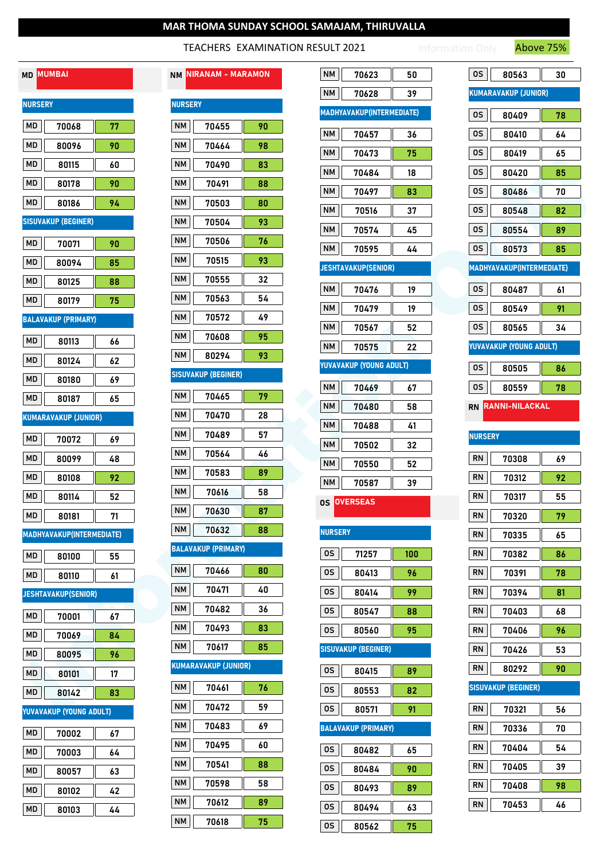#### TEACHERS EXAMINATION RESULT 2021

Information Only **Above 75%** 

# MD MUMBAI

| <b>NURSERY</b> |                            |         |  |  |  |
|----------------|----------------------------|---------|--|--|--|
| МD             | 70068                      | 77      |  |  |  |
| МD             | 80096                      | 90      |  |  |  |
| МD             | 80115                      | 60      |  |  |  |
| МD             | 80178                      | 90      |  |  |  |
| МD             | 80186                      | 94      |  |  |  |
|                | SISUVAKUP (BEGINER)        |         |  |  |  |
| МD             | 70071                      | 90      |  |  |  |
| МD             | 80094                      | 85      |  |  |  |
| МD             | 80125                      | 88      |  |  |  |
| MD             | 80179                      | 75      |  |  |  |
|                | <b>BALAVAKUP (PRIMARY)</b> |         |  |  |  |
| МD             | 80113                      | 66      |  |  |  |
| МD             | 80124                      | 62      |  |  |  |
| МD             | 80180                      | 69      |  |  |  |
| MD             | 80187                      | 65      |  |  |  |
|                | KUMARAVAKUP (JUNIOR)       |         |  |  |  |
| МD             | 70072                      | 69      |  |  |  |
| МD             | 80099                      | 48      |  |  |  |
| МD             | 80108                      | 92      |  |  |  |
| МD             | 80114                      | 52      |  |  |  |
| МD             | 80181                      | 71      |  |  |  |
|                | MADHYAVAKUP(INTERMEDIATE)  |         |  |  |  |
| MD             | 80100                      | ║<br>55 |  |  |  |
| MD I           | 80110                      | 61      |  |  |  |
|                | <b>JESHTAVAKUP(SENIOR)</b> |         |  |  |  |
| МD             | 70001                      | 67      |  |  |  |
| МD             | 70069                      | 84      |  |  |  |
| МD             | 80095                      | 96      |  |  |  |
| МD             | 80101                      | 17      |  |  |  |
| МD             | 80142                      | 83      |  |  |  |
|                | YUVAVAKUP (YOUNG ADULT)    |         |  |  |  |
| МD             | 70002                      | 67      |  |  |  |
| МD             | 70003                      | 64      |  |  |  |
| МD             | 80057                      | 63      |  |  |  |
| МD             | 80102                      | 42      |  |  |  |
| МD             | 80103                      | 44      |  |  |  |

|                             | NM NIRANAM - MARAMON       |         |  |  |  |
|-----------------------------|----------------------------|---------|--|--|--|
|                             | <b>NURSERY</b>             |         |  |  |  |
| NΜ                          | 70455                      | 90      |  |  |  |
| NΜ                          | 70464                      | 98      |  |  |  |
| NΜ                          | 70490                      | 83      |  |  |  |
| <b>NM</b>                   | 70491                      | 88      |  |  |  |
| NΜ                          | 70503                      | 80      |  |  |  |
| NΜ                          | 70504                      | 93      |  |  |  |
| NΜ                          | 70506                      | 76      |  |  |  |
| NΜ                          | 70515                      | 93      |  |  |  |
| NΜ                          | 70555                      | 32      |  |  |  |
| NΜ                          | 70563                      | 54      |  |  |  |
| NΜ                          | 70572                      | 49      |  |  |  |
| <b>NM</b>                   | 70608                      | 95      |  |  |  |
| NМ                          | 80294                      | 93      |  |  |  |
|                             | <b>SISUVAKUP (BEGINER)</b> |         |  |  |  |
| NΜ                          | 70465                      | 79      |  |  |  |
| NΜ                          | 70470                      | 28      |  |  |  |
| NΜ                          | 70489                      | 57      |  |  |  |
| NМ                          | 70564                      | 46      |  |  |  |
| NΜ                          | 70583                      | 89      |  |  |  |
| NΜ                          | 70616                      | 58      |  |  |  |
| <b>NM</b>                   | 70630                      | 87      |  |  |  |
|                             | $N$ M $\parallel$<br>70632 | I<br>88 |  |  |  |
|                             | BALAVAKUP (PRIMARY)        |         |  |  |  |
| NΜ                          | 70466                      | 80      |  |  |  |
| NM                          | 70471                      | 40      |  |  |  |
| <b>NM</b>                   | 70482                      | 36      |  |  |  |
| <b>NM</b>                   | 70493                      | 83      |  |  |  |
| NM                          | 70617                      | 85      |  |  |  |
| <b>KUMARAVAKUP (JUNIOR)</b> |                            |         |  |  |  |
| NΜ                          | 70461                      | 76      |  |  |  |
| <b>NM</b>                   | 70472                      | 59      |  |  |  |
| <b>NM</b>                   | 70483                      | 69      |  |  |  |
| <b>NM</b>                   | 70495                      | 60      |  |  |  |
| <b>NM</b>                   | 70541                      | 88      |  |  |  |
| <b>NM</b>                   | 70598                      | 58      |  |  |  |
| <b>NM</b>                   | 70612                      | 89      |  |  |  |

|                | MD MUMBAI                   |          | <b>NM NIRANAM - MARAMON</b>           | <b>NM</b><br>0S<br>70623<br>50          | 80563                       | 30 |
|----------------|-----------------------------|----------|---------------------------------------|-----------------------------------------|-----------------------------|----|
| <b>NURSERY</b> |                             |          | <b>NURSERY</b>                        | <b>NM</b><br>70628<br>39                | <b>KUMARAVAKUP (JUNIOR)</b> |    |
|                |                             |          |                                       | <b>MADHYAVAKUP(INTERMEDIATE)</b><br>0S  | 80409                       | 78 |
| MD             | 70068                       | 77       | <b>NM</b><br>70455<br>90              | 0S<br><b>NM</b><br>70457<br>36          | 80410                       | 64 |
| MD             | 80096                       | 90       | <b>NM</b><br>70464<br>98              | <b>NM</b><br>70473<br>75<br>0S          | 80419                       | 65 |
| MD.            | 80115                       | 60       | <b>NM</b><br>70490<br>83              | <b>NM</b><br>0S<br>70484<br>18          | 80420                       | 85 |
| MD             | 80178                       | 90       | <b>NM</b><br>70491<br>88              | <b>NM</b><br>0S<br>70497<br>83          | 80486                       | 70 |
| MD             | 80186                       | 94       | <b>NM</b><br>80<br>70503              | <b>NM</b><br>0S<br>70516<br>37          | 80548                       | 82 |
|                | <b>SISUVAKUP (BEGINER)</b>  |          | <b>NM</b><br>70504<br>93              | <b>NM</b><br>0S<br>70574<br>45          | 80554                       | 89 |
| MD             | 70071                       | 90       | <b>NM</b><br>70506<br>76              | <b>NM</b><br>70595<br>0S<br>44          | 80573                       | 85 |
| MD             | 80094                       | 85       | <b>NM</b><br>70515<br>93              | <b>JESHTAVAKUP(SENIOR)</b>              | MADHYAVAKUP(INTERMEDIATE)   |    |
| MD             | 80125                       | 88       | $\mathsf{N}\mathsf{M}$<br>70555<br>32 | <b>NM</b><br>0S<br>70476<br>19          | 80487                       | 61 |
| MD             | 80179                       | 75       | $\mathsf{N}\mathsf{M}$<br>70563<br>54 | 0S<br><b>NM</b><br>70479<br>19          | 80549                       | 91 |
|                | <b>BALAVAKUP (PRIMARY)</b>  |          | <b>NM</b><br>70572<br>49              | <b>NM</b><br>0S<br>70567<br>52          | 80565                       | 34 |
| MD             | 80113                       | 66       | <b>NM</b><br>70608<br>95              | <b>NM</b><br>70575<br>22                | YUVAVAKUP (YOUNG ADULT)     |    |
| MD             | 80124                       | 62       | <b>NM</b><br>93<br>80294              | YUVAVAKUP (YOUNG ADULT)<br>0S           | 80505                       | 86 |
| MD             | 80180                       | 69       | <b>SISUVAKUP (BEGINER)</b>            | <b>NM</b><br>0S<br>70469<br>67          | 80559                       | 78 |
| MD             | 80187                       | 65       | <b>NM</b><br>70465<br>79              | $\mathsf{N}\mathsf{M}$<br>70480<br>58   | RN RANNI-NILACKAL           |    |
|                | <b>KUMARAVAKUP (JUNIOR)</b> |          | <b>NM</b><br>70470<br>28              | <b>NM</b><br>70488<br>41                |                             |    |
| MD             | 70072                       | 69       | <b>NM</b><br>70489<br>57              | <b>NM</b><br>70502<br>32                | <b>NURSERY</b>              |    |
| MD             | 80099                       | 48       | <b>NM</b><br>70564<br>46              | <b>RN</b><br><b>NM</b><br>70550<br>52   | 70308                       | 69 |
| MD             | 80108                       | 92       | <b>NM</b><br>70583<br>89              | <b>RN</b><br><b>NM</b><br>70587<br>39   | 70312                       | 92 |
| MD             | 80114                       | 52       | <b>NM</b><br>70616<br>58              | <b>RN</b><br><b>OS OVERSEAS</b>         | 70317                       | 55 |
| MD             | 80181                       | 71       | <b>NM</b><br>70630<br>87              | <b>RN</b>                               | 70320                       | 79 |
|                | MADHYAVAKUP(INTERMEDIATE)   |          | $\mathsf{N}\mathsf{M}$<br>70632<br>88 | <b>NURSERY</b><br><b>RN</b>             | 70335                       | 65 |
| MD             | 80100                       | 55       | <b>BALAVAKUP (PRIMARY)</b>            | 0S<br><b>RN</b><br>71257<br>100         | 70382                       | 86 |
| <b>MD</b>      | 80110                       | 61       | <b>NM</b><br>80<br>70466              | 0S<br>96<br><b>RN</b><br>80413          | 70391                       | 78 |
|                | <b>JESHTAVAKUP(SENIOR)</b>  |          | <b>NM</b><br>70471<br>40              | 0S<br><b>RN</b><br>99<br>80414          | 70394                       | 81 |
| MD             | 70001                       |          | <b>NM</b><br>70482<br>36              | 0S<br><b>RN</b><br>80547<br>88          | 70403                       | 68 |
| MD             | 70069                       | $67\,$   | $\mathsf{N}\mathsf{M}$<br>83<br>70493 | 0S<br><b>RN</b><br>80560<br>95          | 70406                       | 96 |
| MD             | 80095                       | 84       | $\mathsf{N}\mathsf{M}$<br>70617<br>85 | <b>SISUVAKUP (BEGINER)</b><br><b>RN</b> | 70426                       | 53 |
| MD             |                             | 96<br>17 | <b>KUMARAVAKUP (JUNIOR)</b>           | <b>RN</b><br>0S<br>80415<br>89          | 80292                       | 90 |
| MD             | 80101<br>80142              | 83       | <b>NM</b><br>70461<br>76              | 0S<br>82<br>80553                       | <b>SISUVAKUP (BEGINER)</b>  |    |
|                | YUVAVAKUP (YOUNG ADULT)     |          | $\mathsf{N}\mathsf{M}$<br>70472<br>59 | 0S<br>80571<br>91<br><b>RN</b>          | 70321                       | 56 |
|                |                             |          | $\mathsf{N}\mathsf{M}$<br>69<br>70483 | <b>BALAVAKUP (PRIMARY)</b><br><b>RN</b> | 70336                       | 70 |
| MD             | 70002                       | 67       | $\mathsf{N}\mathsf{M}$<br>70495<br>60 | <b>RN</b>                               | 70404                       | 54 |
| MD             | 70003                       | 64       | $\mathsf{N}\mathsf{M}$<br>88<br>70541 | 0S<br>80482<br>65<br><b>RN</b>          | 70405                       | 39 |
| MD             | 80057                       | 63       | $\mathsf{N}\mathsf{M}$<br>70598<br>58 | 0S<br>90<br>80484<br><b>RN</b>          |                             | 98 |
| MD             | 80102                       | 42       | $\mathsf{N}\mathsf{M}$<br>70612<br>89 | 0S<br>80493<br>89                       | 70408                       |    |
| MD             | 80103                       | 44       | $\mathsf{N}\mathsf{M}$<br>70618<br>75 | <b>RN</b><br>0S<br>80494<br>63          | 70453                       | 46 |
|                |                             |          |                                       | 0S<br>80562<br>75                       |                             |    |

| OS             | 80563                                 | 30 |
|----------------|---------------------------------------|----|
|                | <b>KUMARAVAKUP (JUNIOR)</b>           |    |
| 0S             | 80409                                 | 78 |
| os             | 80410                                 | 64 |
| ΟS             | 80419                                 | 65 |
| 0S             | 80420                                 | 85 |
| ΟS             | 80486                                 | 70 |
| os             | 80548                                 | 82 |
| 0S             | 80554                                 | 89 |
| 0S             | 80573                                 | 85 |
|                | MADHYAVAKUP(INTERMEDIATE)             |    |
| 0S             | 80487                                 | 61 |
| 0S             | 80549                                 | 91 |
| 0S             | 80565                                 | 34 |
|                | <b><i>IUVAVAKUP (YOUNG ADULT)</i></b> |    |
| ΟS             | 80505                                 | 86 |
| 0S             | 80559                                 | 78 |
|                | RN RANNI-NILACKAL                     |    |
| <b>NURSERY</b> |                                       |    |
| RN             | 70308                                 | 69 |
| RN             | 70312                                 | 92 |
| RN             | 70317                                 | 55 |
| RN             | 70320                                 | 79 |
| RN             | 70335                                 | 65 |
| RN             | 70382                                 | 86 |
| RN             | 70391                                 | 78 |
| RN             | 70394                                 | 81 |
| RN             | 70403                                 | 68 |
| RN             | 70406                                 | 96 |
| RN             | 70426                                 | 53 |
| <b>RN</b>      | 80292                                 | 90 |

## SISUVAKUP (BEGINER)

| <b>RN</b> | 70321 | 56 |
|-----------|-------|----|
|           |       |    |
| <b>RN</b> | 70336 | 70 |
|           |       |    |
| <b>RN</b> | 70404 | 54 |
|           |       |    |
|           |       |    |
| <b>RN</b> | 70405 | 39 |
|           |       |    |
| <b>RN</b> | 70408 | 98 |
|           |       |    |
| <b>RN</b> | 70453 | 46 |
|           |       |    |